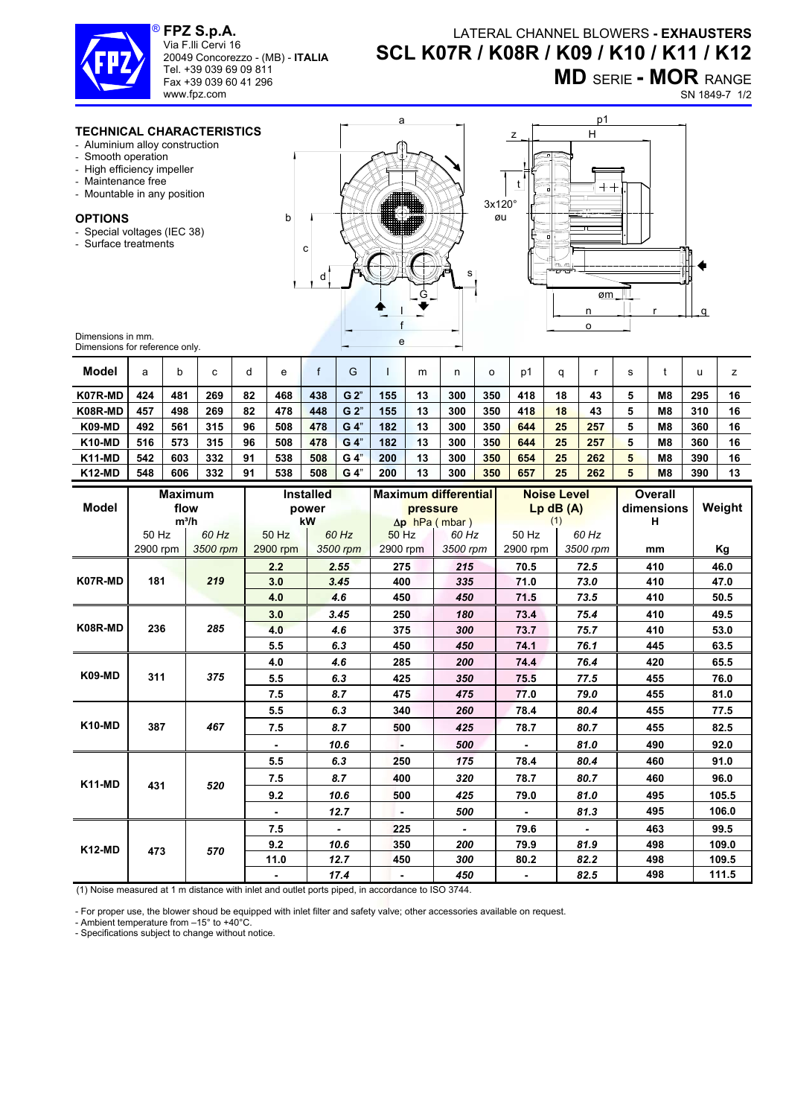

**FPZ S.p.A.**  ® Via F.lli Cervi 16

20049 Concorezzo - (MB) - **ITALIA** Tel. +39 039 69 09 811 Fax +39 039 60 41 296

## LATERAL CHANNEL BLOWERS **- EXHAUSTERS SCL K07R / K08R / K09 / K10 / K11 / K12**

**MD** SERIE **- MOR** RANGE

SN 1849-7 1/2

## **TECHNICAL CHARACTERISTICS**

www.fpz.com

- Aluminium alloy construction
- Smooth operation
- High efficiency impeller
- Maintenance free
- Mountable in any position

## **OPTIONS**

- Special voltages (IEC 38)
- Surface treatments



a



Dimensions in mm. Dimensions for reference only.

| <u>Principloids for reference only.</u> |                |         |          |    |                  |              |                |                             |                       |          |         |                    |          |            |     |                |        |      |  |
|-----------------------------------------|----------------|---------|----------|----|------------------|--------------|----------------|-----------------------------|-----------------------|----------|---------|--------------------|----------|------------|-----|----------------|--------|------|--|
| <b>Model</b>                            | a              | b       | C        | d  | e                | $\mathsf{f}$ | G              |                             | m                     | n        | $\circ$ | p1                 | q        | r          | s   | t              | u      | z    |  |
| K07R-MD                                 | 424            | 481     | 269      | 82 | 468              | 438          | G 2"           | 155                         | 13                    | 300      | 350     | 418                | 18       | 43         | 5   | M <sub>8</sub> | 295    | 16   |  |
| K08R-MD                                 | 457            | 498     | 269      | 82 | 478              | 448          | G <sub>2</sub> | 155                         | 13                    | 300      | 350     | 418                | 18       | 43         | 5   | M <sub>8</sub> | 310    | 16   |  |
| <b>K09-MD</b>                           | 492            | 561     | 315      | 96 | 508              | 478          | G 4"           | 182                         | 13                    | 300      | 350     | 644                | 25       | 257        | 5   | M <sub>8</sub> | 360    | 16   |  |
| <b>K10-MD</b>                           | 516            | 573     | 315      | 96 | 508              | 478          | G 4"           | 182                         | 13                    | 300      | 350     | 644                | 25       | 257        | 5   | M <sub>8</sub> | 360    | 16   |  |
| K11-MD                                  | 542            | 603     | 332      | 91 | 538              | 508          | $G_4"$         | 200                         | 13                    | 300      | 350     | 654                | 25       | 262        | 5   | M <sub>8</sub> | 390    | 16   |  |
| <b>K12-MD</b>                           | 548            | 606     | 332      | 91 | 538              | 508          | G 4"           | 200                         | 13                    | 300      | 350     | 657                | 25       | 262        | 5   | <b>M8</b>      | 390    | 13   |  |
|                                         | <b>Maximum</b> |         |          |    | <b>Installed</b> |              |                | <b>Maximum differential</b> |                       |          |         | <b>Noise Level</b> |          |            |     | <b>Overall</b> |        |      |  |
| <b>Model</b>                            |                | flow    |          |    |                  | power        |                |                             | pressure              |          |         | $Lp$ dB $(A)$      |          | dimensions |     |                | Weight |      |  |
|                                         |                | $m^3/h$ |          |    |                  | kW           |                |                             | $\Delta p$ hPa (mbar) |          |         | (1)                |          | н          |     |                |        |      |  |
|                                         | 50 Hz          |         | 60 Hz    |    | 50 Hz            |              | 60 Hz          |                             | 50 Hz                 |          | 60 Hz   | 50 Hz              |          | 60 Hz      |     |                |        |      |  |
|                                         | 2900 rpm       |         | 3500 rpm |    | 2900 rpm         |              |                | 3500 rpm<br>2900 rpm        |                       | 3500 rpm |         | 2900 rpm           | 3500 rpm |            | mm  |                |        | Κg   |  |
|                                         | 181            |         | 219      |    | 2.2              |              | 2.55           |                             | 275                   |          | 215     | 70.5<br>72.5       |          | 410        |     |                | 46.0   |      |  |
| K07R-MD                                 |                |         |          |    | 3.0              | 3.45         |                | 400                         |                       | 335      |         | 71.0               | 73.0     |            |     | 410            |        | 47.0 |  |
|                                         |                |         |          |    | 4.0              |              | 4.6            |                             | 450                   |          | 450     | 71.5               |          | 73.5       |     | 410            |        | 50.5 |  |
|                                         | 236            |         | 285      |    | 3.0              | 3.45         |                | 250                         |                       | 180      |         | 73.4               |          | 75.4       | 410 |                |        | 49.5 |  |
| K08R-MD                                 |                |         |          |    | 4.0              |              | 4.6            |                             | 375                   |          | 300     | 73.7               |          | 75.7       |     | 410            |        | 53.0 |  |
|                                         |                |         |          |    | 5.5              | 6.3          |                | 450                         |                       | 450      |         | 74.1               |          | 76.1       |     | 445            |        | 63.5 |  |
| <b>K09-MD</b>                           | 311            |         | 375      |    | 4.0              | 4.6          |                | 285                         |                       | 200      |         | 74.4               |          | 76.4       |     | 420            |        | 65.5 |  |
|                                         |                |         |          |    | 5.5              |              | 6.3            |                             | 425                   |          | 350     | 75.5               |          | 77.5       |     | 455            |        | 76.0 |  |
|                                         |                |         |          |    | 7.5              |              | 8.7            |                             | 475                   |          | 475     | 77.0               |          | 79.0       |     | 455            |        | 81.0 |  |
| <b>K10-MD</b>                           | 387            |         | 467      |    | 5.5              |              | 6.3            |                             | 340                   |          | 260     | 78.4               |          | 80.4       |     | 455            |        | 77.5 |  |
|                                         |                |         |          |    | 7.5              |              | 8.7            |                             | 500                   |          | 425     | 78.7               |          | 80.7       |     | 455            |        | 82.5 |  |
|                                         |                |         |          |    |                  |              | 10.6           |                             |                       | 500      |         |                    |          | 81.0       |     | 490            |        | 92.0 |  |
|                                         |                |         |          |    | 5.5              |              | 6.3            | 250                         |                       | 175      |         | 78.4               |          | 80.4       |     | 460            |        | 91.0 |  |

**7.5** *8.7* **400** *320* **78.7** *80.7* **460 96.0 9.2** *10.6* **500** *425* **79.0** *81.0* **495 105.5** 

**-** *12.7* **-** *500* **-** *81.3* **495 106.0 7.5** *-* **225** *-* **79.6** *-* **463 99.5 9.2** *10.6* **350** *200* **79.9** *81.9* **498 109.0 11.0** *12.7* **450** *300* **80.2** *82.2* **498 109.5** 

**-** *17.4* **-** *450* **-** *82.5* **498 111.5** 

(1) Noise measured at 1 m distance with inlet and outlet ports piped, in accordance to ISO 3744.

- For proper use, the blower shoud be equipped with inlet filter and safety valve; other accessories available on request.

- Ambient temperature from –15° to +40°C.

**K11-MD 431** *520* 

**K12-MD 473** *570* 

- Specifications subject to change without notice.